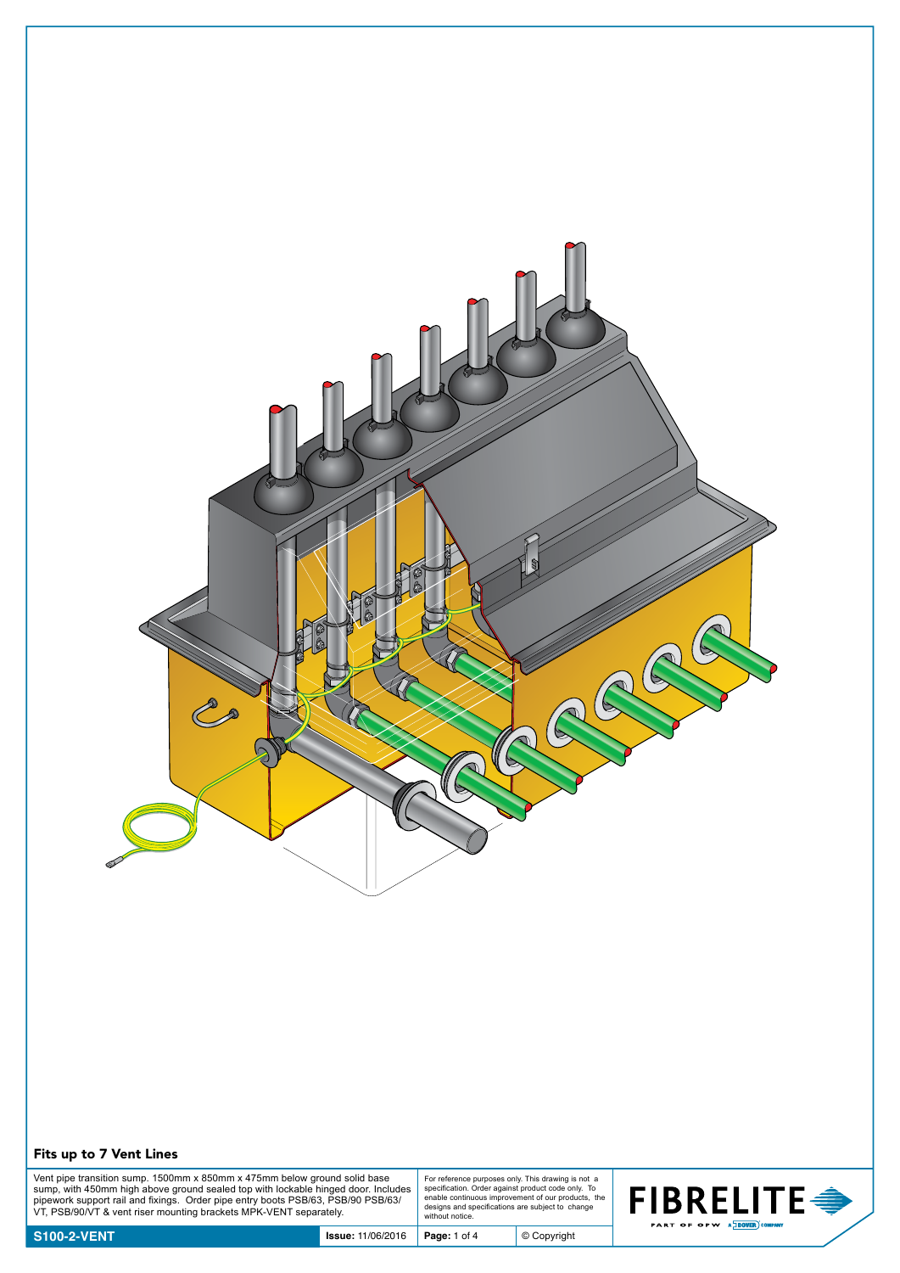

## Fits up to 7 Vent Lines

Vent pipe transition sump. 1500mm x 850mm x 475mm below ground solid base<br>sump, with 450mm high above ground sealed top with lockable hinged door. Includes<br>pipework support rail and fixings. Order pipe entry boots PSB/63,

For reference purposes only. This drawing is not a specification. Order against product code only. To enable continuous improvement of our products, the designs and specifications are subject to change without notice.

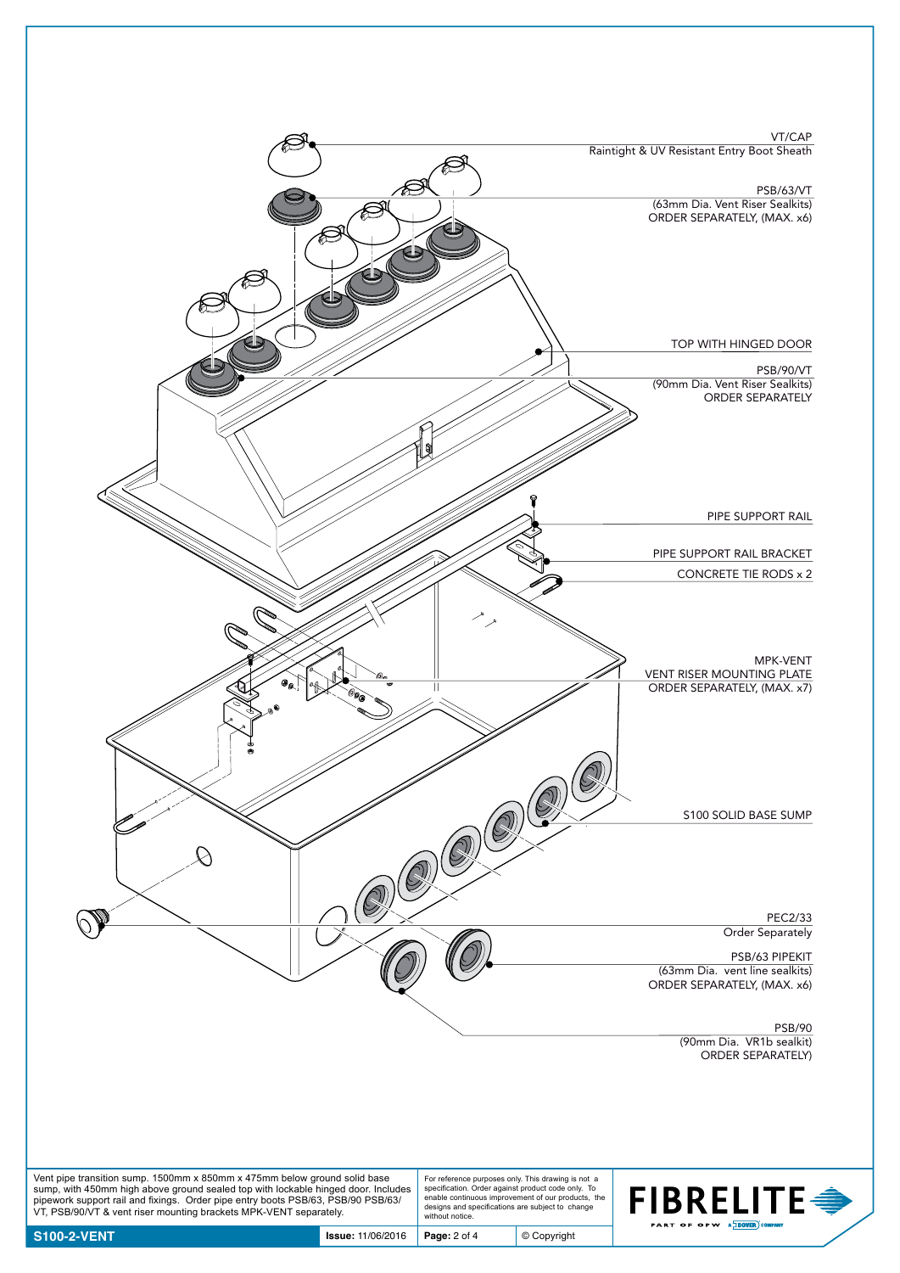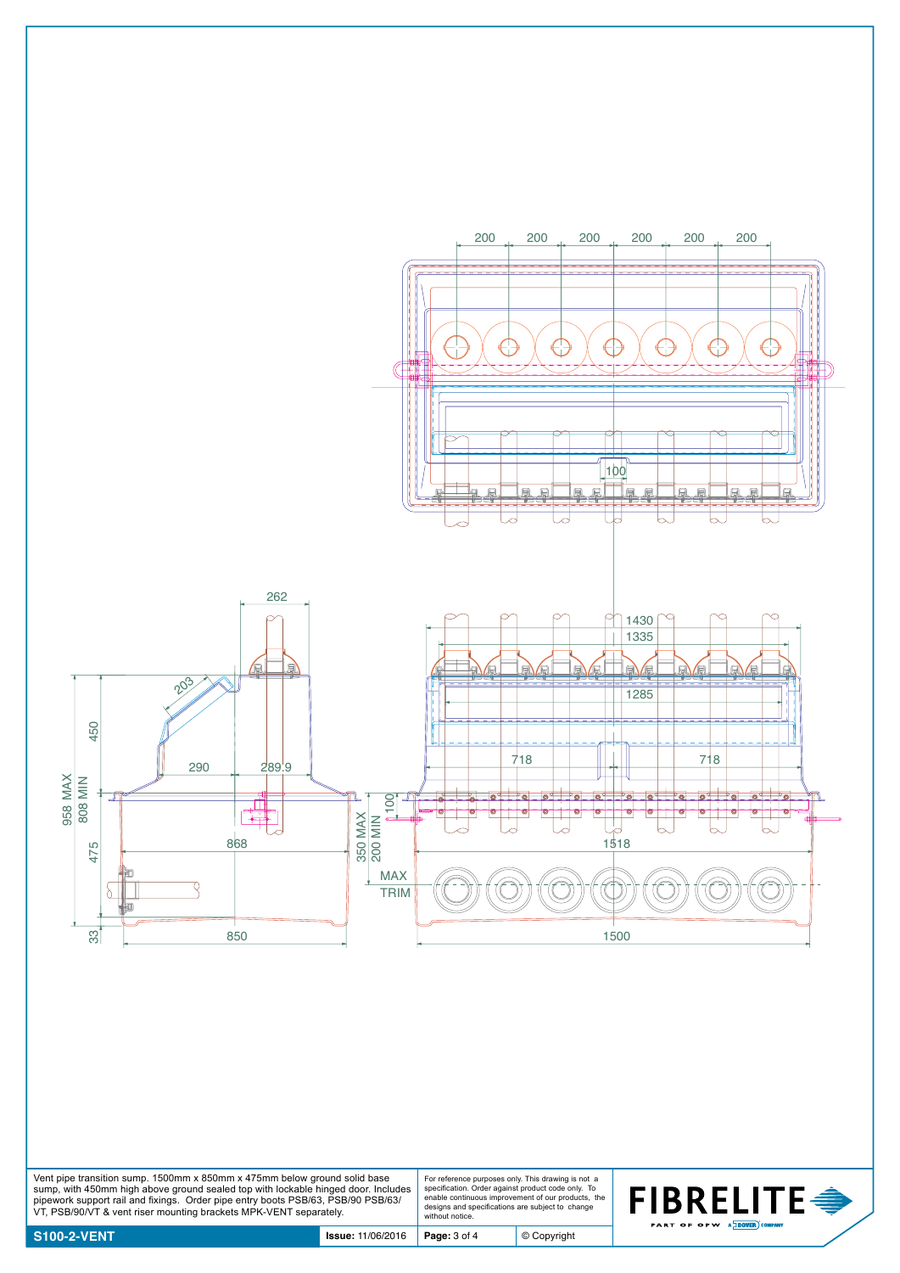

Vent pipe transition sump. 1500mm x 850mm x 475mm below ground solid base<br>sump, with 450mm high above ground sealed top with lockable hinged door. Includes<br>pipework support rail and fixings. Order pipe entry boots PSB/63,

For reference purposes only. This drawing is not a specification. Order against product code only. To enable continuous improvement of our products, the designs and specifications are subject to change without notice.